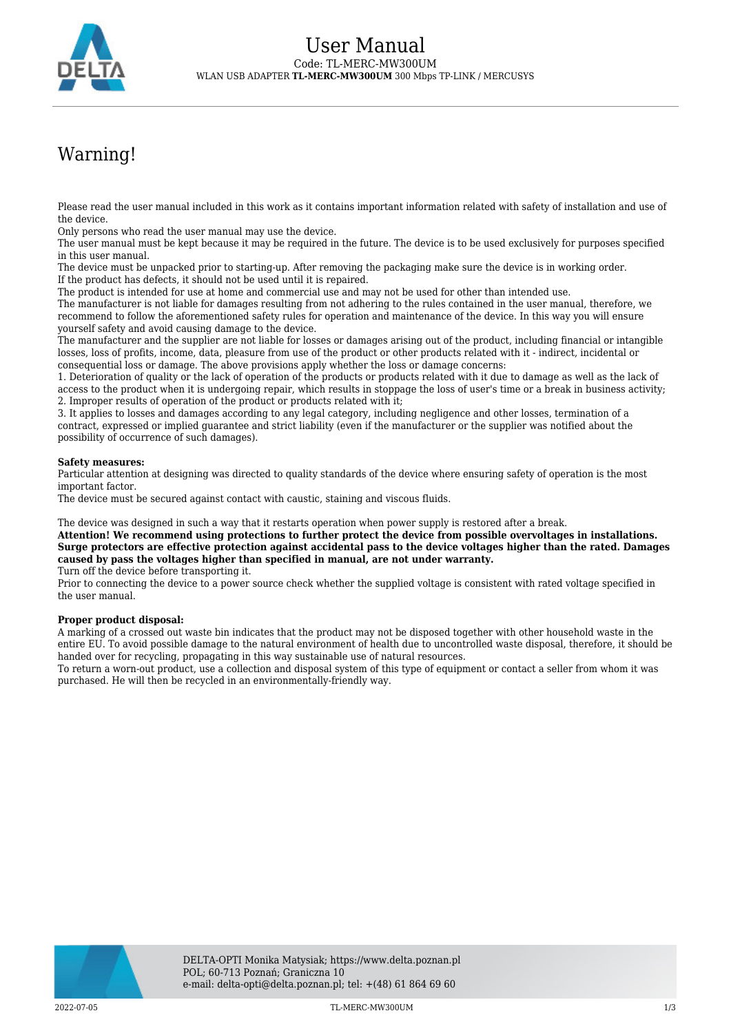

# Warning!

Please read the user manual included in this work as it contains important information related with safety of installation and use of the device.

Only persons who read the user manual may use the device.

The user manual must be kept because it may be required in the future. The device is to be used exclusively for purposes specified in this user manual.

The device must be unpacked prior to starting-up. After removing the packaging make sure the device is in working order. If the product has defects, it should not be used until it is repaired.

The product is intended for use at home and commercial use and may not be used for other than intended use.

The manufacturer is not liable for damages resulting from not adhering to the rules contained in the user manual, therefore, we recommend to follow the aforementioned safety rules for operation and maintenance of the device. In this way you will ensure yourself safety and avoid causing damage to the device.

The manufacturer and the supplier are not liable for losses or damages arising out of the product, including financial or intangible losses, loss of profits, income, data, pleasure from use of the product or other products related with it - indirect, incidental or consequential loss or damage. The above provisions apply whether the loss or damage concerns:

1. Deterioration of quality or the lack of operation of the products or products related with it due to damage as well as the lack of access to the product when it is undergoing repair, which results in stoppage the loss of user's time or a break in business activity; 2. Improper results of operation of the product or products related with it;

3. It applies to losses and damages according to any legal category, including negligence and other losses, termination of a contract, expressed or implied guarantee and strict liability (even if the manufacturer or the supplier was notified about the possibility of occurrence of such damages).

#### **Safety measures:**

Particular attention at designing was directed to quality standards of the device where ensuring safety of operation is the most important factor.

The device must be secured against contact with caustic, staining and viscous fluids.

The device was designed in such a way that it restarts operation when power supply is restored after a break.

**Attention! We recommend using protections to further protect the device from possible overvoltages in installations. Surge protectors are effective protection against accidental pass to the device voltages higher than the rated. Damages caused by pass the voltages higher than specified in manual, are not under warranty.**

Turn off the device before transporting it.

Prior to connecting the device to a power source check whether the supplied voltage is consistent with rated voltage specified in the user manual.

#### **Proper product disposal:**

A marking of a crossed out waste bin indicates that the product may not be disposed together with other household waste in the entire EU. To avoid possible damage to the natural environment of health due to uncontrolled waste disposal, therefore, it should be handed over for recycling, propagating in this way sustainable use of natural resources.

To return a worn-out product, use a collection and disposal system of this type of equipment or contact a seller from whom it was purchased. He will then be recycled in an environmentally-friendly way.

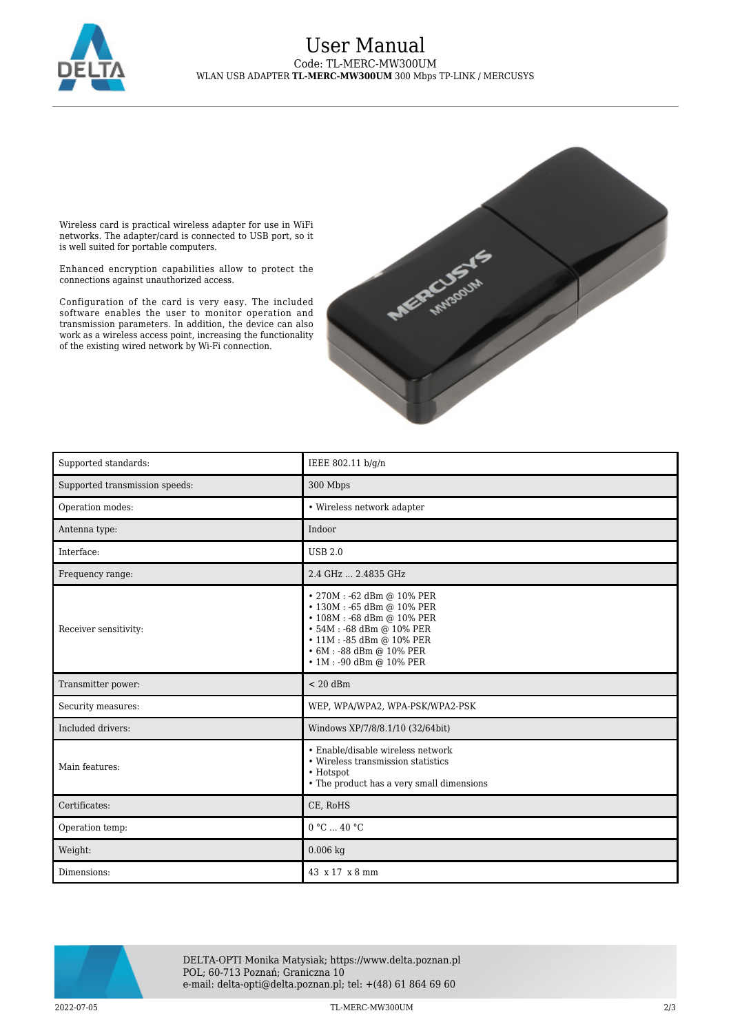

### User Manual Code: TL-MERC-MW300UM WLAN USB ADAPTER **TL-MERC-MW300UM** 300 Mbps TP-LINK / MERCUSYS

Wireless card is practical wireless adapter for use in WiFi networks. The adapter/card is connected to USB port, so it is well suited for portable computers.

Enhanced encryption capabilities allow to protect the connections against unauthorized access.

Configuration of the card is very easy. The included software enables the user to monitor operation and transmission parameters. In addition, the device can also work as a wireless access point, increasing the functionality of the existing wired network by Wi-Fi connection.



| Supported standards:           | IEEE 802.11 b/g/n                                                                                                                                                                                                |
|--------------------------------|------------------------------------------------------------------------------------------------------------------------------------------------------------------------------------------------------------------|
| Supported transmission speeds: | 300 Mbps                                                                                                                                                                                                         |
| Operation modes:               | • Wireless network adapter                                                                                                                                                                                       |
| Antenna type:                  | Indoor                                                                                                                                                                                                           |
| Interface:                     | <b>USB 2.0</b>                                                                                                                                                                                                   |
| Frequency range:               | 2.4 GHz  2.4835 GHz                                                                                                                                                                                              |
| Receiver sensitivity:          | • 270M: -62 dBm @ 10% PER<br>• 130M: -65 dBm @ 10% PER<br>• 108M : −68 dBm @ 10% PER<br>• 54M: -68 dBm @ 10% PER<br>• 11M: -85 dBm @ 10% PER<br>$\cdot$ 6M : -88 dBm @ 10% PER<br>$\cdot$ 1M : -90 dBm @ 10% PER |
| Transmitter power:             | $< 20$ dBm                                                                                                                                                                                                       |
| Security measures:             | WEP, WPA/WPA2, WPA-PSK/WPA2-PSK                                                                                                                                                                                  |
| Included drivers:              | Windows XP/7/8/8.1/10 (32/64bit)                                                                                                                                                                                 |
| Main features:                 | • Enable/disable wireless network<br>• Wireless transmission statistics<br>• Hotspot<br>• The product has a very small dimensions                                                                                |
| Certificates:                  | CE, RoHS                                                                                                                                                                                                         |
| Operation temp:                | 0 °C  40 °C                                                                                                                                                                                                      |
| Weight:                        | $0.006$ kg                                                                                                                                                                                                       |
| Dimensions:                    | 43 x 17 x 8 mm                                                                                                                                                                                                   |



DELTA-OPTI Monika Matysiak; https://www.delta.poznan.pl POL; 60-713 Poznań; Graniczna 10 e-mail: delta-opti@delta.poznan.pl; tel: +(48) 61 864 69 60